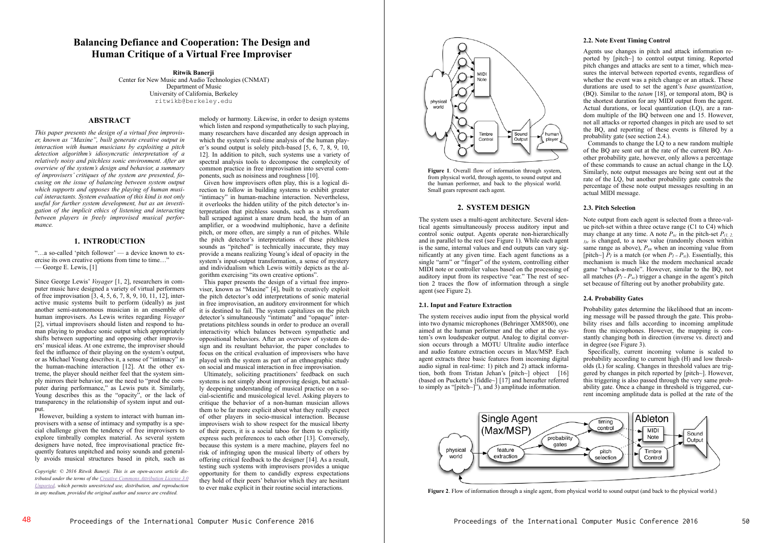# **Balancing Defiance and Cooperation: The Design and Human Critique of a Virtual Free Improviser**

**Ritwik Banerji**  Center for New Music and Audio Technologies (CNMAT) Department of Music University of California, Berkeley ritwikb@berkeley.edu

# **ABSTRACT**

*This paper presents the design of a virtual free improviser, known as "Maxine", built generate creative output in interaction with human musicians by exploiting a pitch detection algorithm's idiosyncratic interpretation of a relatively noisy and pitchless sonic environment. After an overview of the system's design and behavior, a summary of improvisers' critiques of the system are presented, focusing on the issue of balancing between system output which supports and opposes the playing of human musical interactants. System evaluation of this kind is not only useful for further system development, but as an investigation of the implicit ethics of listening and interacting between players in freely improvised musical performance.* 

# **1. INTRODUCTION**

"…a so-called 'pitch follower' — a device known to exercise its own creative options from time to time..." — George E. Lewis, [1]

Since George Lewis' *Voyager* [1, 2], researchers in computer music have designed a variety of virtual performers of free improvisation [3, 4, 5, 6, 7, 8, 9, 10, 11, 12], interactive music systems built to perform (ideally) as just another semi-autonomous musician in an ensemble of human improvisers. As Lewis writes regarding *Voyager* [2], virtual improvisers should listen and respond to human playing to produce sonic output which appropriately shifts between supporting and opposing other improvisers' musical ideas. At one extreme, the improviser should feel the influence of their playing on the system's output, or as Michael Young describes it, a sense of "intimacy" in the human-machine interaction [12]. At the other extreme, the player should neither feel that the system simply mirrors their behavior, nor the need to "prod the computer during performance," as Lewis puts it. Similarly, Young describes this as the "opacity", or the lack of transparency in the relationship of system input and output.

 However, building a system to interact with human improvisers with a sense of intimacy and sympathy is a special challenge given the tendency of free improvisers to explore timbrally complex material. As several system designers have noted, free improvisational practice frequently features unpitched and noisy sounds and generally avoids musical structures based in pitch, such as

*Copyright: © 2016 Ritwik Banerji. This is an open-access article distributed under the terms of the Creative Commons Attribution License 3.0 Unported, which permits unrestricted use, distribution, and reproduction in any medium, provided the original author and source are credited.*

melody or harmony. Likewise, in order to design systems which listen and respond sympathetically to such playing, many researchers have discarded any design approach in which the system's real-time analysis of the human player's sound output is solely pitch-based [5, 6, 7, 8, 9, 10, 12]. In addition to pitch, such systems use a variety of spectral analysis tools to decompose the complexity of common practice in free improvisation into several components, such as noisiness and roughness [10].

 Given how improvisers often play, this is a logical direction to follow in building systems to exhibit greater "intimacy" in human-machine interaction. Nevertheless, it overlooks the hidden utility of the pitch detector's interpretation that pitchless sounds, such as a styrofoam ball scraped against a snare drum head, the hum of an amplifier, or a woodwind multiphonic, have a definite pitch, or more often, are simply a run of pitches. While the pitch detector's interpretations of these pitchless sounds as "pitched" is technically inaccurate, they may provide a means realizing Young's ideal of opacity in the system's input-output transformation, a sense of mystery and individualism which Lewis wittily depicts as the algorithm exercising "its own creative options".

 This paper presents the design of a virtual free improviser, known as "Maxine" [4], built to creatively exploit the pitch detector's odd interpretations of sonic material in free improvisation, an auditory environment for which it is destined to fail. The system capitalizes on the pitch detector's simultaneously "intimate" and "opaque" interpretations pitchless sounds in order to produce an overall interactivity which balances between sympathetic and oppositional behaviors. After an overview of system design and its resultant behavior, the paper concludes to focus on the critical evaluation of improvisers who have played with the system as part of an ethnographic study on social and musical interaction in free improvisation.

 Ultimately, soliciting practitioners' feedback on such systems is not simply about improving design, but actually deepening understanding of musical practice on a social-scientific and musicological level. Asking players to critique the behavior of a non-human musician allows them to be far more explicit about what they really expect of other players in socio-musical interaction. Because improvisers wish to show respect for the musical liberty of their peers, it is a social taboo for them to explicitly express such preferences to each other [13]. Conversely, because this system is a mere machine, players feel no risk of infringing upon the musical liberty of others by offering critical feedback to the designer [14]. As a result, testing such systems with improvisers provides a unique opportunity for them to candidly express expectations they hold of their peers' behavior which they are hesitant to ever make explicit in their routine social interactions.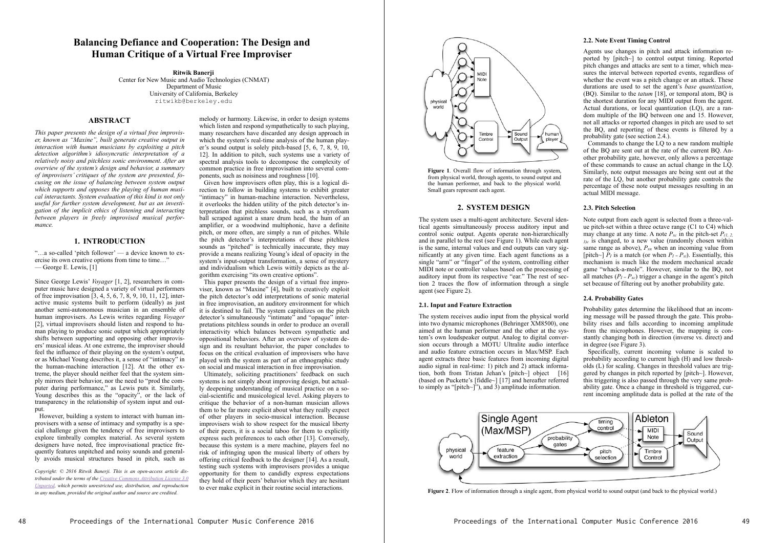

Figure 1. Overall flow of information through system, from physical world, through agents, to sound output and the human performer, and back to the physical world. Small gears represent each agent.

# **2. SYSTEM DESIGN**

The system uses a multi-agent architecture. Several identical agents simultaneously process auditory input and control sonic output. Agents operate non-hierarchically and in parallel to the rest (see Figure 1). While each agent is the same, internal values and end outputs can vary significantly at any given time. Each agent functions as a single "arm" or "finger" of the system, controlling either MIDI note or controller values based on the processing of auditory input from its respective "ear." The rest of section 2 traces the flow of information through a single agent (see Figure 2).

#### **2.1. Input and Feature Extraction**

The system receives audio input from the physical world into two dynamic microphones (Behringer XM8500), one aimed at the human performer and the other at the system's own loudspeaker output. Analog to digital conversion occurs through a MOTU Ultralite audio interface and audio feature extraction occurs in Max/MSP. Each agent extracts three basic features from incoming digital audio signal in real-time: 1) pitch and 2) attack information, both from Tristan Jehan's [pitch~] object [16] (based on Puckette's [fiddle~] [17] and hereafter referred to simply as "[pitch~]"), and 3) amplitude information.

#### **2.2. Note Event Timing Control**

Agents use changes in pitch and attack information reported by [pitch~] to control output timing. Reported pitch changes and attacks are sent to a timer, which measures the interval between reported events, regardless of whether the event was a pitch change or an attack. These durations are used to set the agent's *base quantization*, (BQ). Similar to the *tatum* [18], or temporal atom, BQ is the shortest duration for any MIDI output from the agent. Actual durations, or local quantization (LQ), are a random multiple of the BQ between one and 15. However, not all attacks or reported changes in pitch are used to set the BQ, and reporting of these events is filtered by a probability gate (see section 2.4.).

 Commands to change the LQ to a new random multiple of the BQ are sent out at the rate of the current BQ. Another probability gate, however, only allows a percentage of these commands to cause an actual change in the LQ. Similarly, note output messages are being sent out at the rate of the LQ, but another probability gate controls the percentage of these note output messages resulting in an actual MIDI message.

#### **2.3. Pitch Selection**

Note output from each agent is selected from a three-value pitch-set within a three octave range (C1 to C4) which may change at any time. A note  $P_{xc}$  in the pitch-set  $P_{(1, 2, 3)}$  $3/c$  is changed, to a new value (randomly chosen within same range as above),  $P_{xn}$  when an incoming value from [pitch~]  $P_I$  is a match (or when  $P_I = P_{xi}$ ). Essentially, this mechanism is much like the modern mechanical arcade game "whack-a-mole". However, similar to the BQ, not all matches  $(P_I = P_{xc})$  trigger a change in the agent's pitch set because of filtering out by another probability gate.

#### **2.4. Probability Gates**

Probability gates determine the likelihood that an incoming message will be passed through the gate. This probability rises and falls according to incoming amplitude from the microphones. However, the mapping is constantly changing both in direction (inverse vs. direct) and in degree (see Figure 3).

 Specifically, current incoming volume is scaled to probability according to current high (H) and low thresholds (L) for scaling. Changes in threshold values are triggered by changes in pitch reported by [pitch~]. However, this triggering is also passed through the very same probability gate. Once a change in threshold is triggered, current incoming amplitude data is polled at the rate of the



**Figure 2**. Flow of information through a single agent, from physical world to sound output (and back to the physical world.)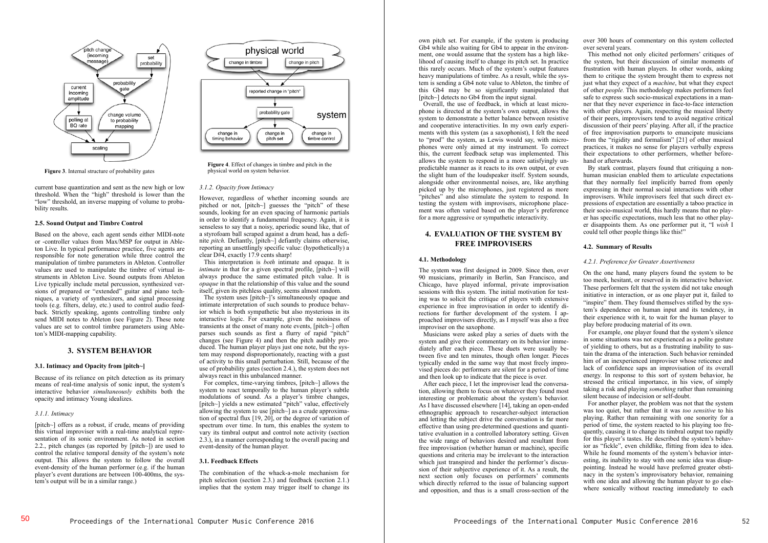

**Figure 3**. Internal structure of probability gates

current base quantization and sent as the new high or low threshold. When the "high" threshold is lower than the "low" threshold, an inverse mapping of volume to probability results.

#### **2.5. Sound Output and Timbre Control**

Based on the above, each agent sends either MIDI-note or -controller values from Max/MSP for output in Ableton Live. In typical performance practice, five agents are responsible for note generation while three control the manipulation of timbre parameters in Ableton. Controller values are used to manipulate the timbre of virtual instruments in Ableton Live. Sound outputs from Ableton Live typically include metal percussion, synthesized versions of prepared or "extended" guitar and piano techniques, a variety of synthesizers, and signal processing tools (e.g. filters, delay, etc.) used to control audio feedback. Strictly speaking, agents controlling timbre only send MIDI notes to Ableton (see Figure 2). These note values are set to control timbre parameters using Ableton's MIDI-mapping capability.

# **3. SYSTEM BEHAVIOR**

#### **3.1. Intimacy and Opacity from [pitch~]**

Because of its reliance on pitch detection as its primary means of real-time analysis of sonic input, the system's interactive behavior *simultaneously* exhibits both the opacity and intimacy Young idealizes.

#### *3.1.1. Intimacy*

[pitch~] offers as a robust, if crude, means of providing this virtual improviser with a real-time analytical representation of its sonic environment. As noted in section 2.2., pitch changes (as reported by [pitch~]) are used to control the relative temporal density of the system's note output. This allows the system to follow the overall event-density of the human performer (e.g. if the human player's event durations are between 100-400ms, the system's output will be in a similar range.)



**Figure 4**. Effect of changes in timbre and pitch in the physical world on system behavior.

#### *3.1.2. Opacity from Intimacy*

However, regardless of whether incoming sounds are pitched or not, [pitch~] guesses the "pitch" of these sounds, looking for an even spacing of harmonic partials in order to identify a fundamental frequency. Again, it is senseless to say that a noisy, aperiodic sound like, that of a styrofoam ball scraped against a drum head, has a definite *pitch.* Defiantly, [pitch~] defiantly claims otherwise, reporting an unsettlingly specific value: (hypothetically) a clear D#4, exactly 17.9 cents sharp!

 This interpretation is *both* intimate and opaque. It is *intimate* in that for a given spectral profile, [pitch~] will always produce the same estimated pitch value. It is *opaque* in that the relationship of this value and the sound itself, given its pitchless quality, seems almost random.

 The system uses [pitch~]'s simultaneously opaque and intimate interpretation of such sounds to produce behavior which is both sympathetic but also mysterious in its interactive logic. For example, given the noisiness of transients at the onset of many note events, [pitch~] often parses such sounds as first a flurry of rapid "pitch" changes (see Figure 4) and then the pitch audibly produced. The human player plays just one note, but the system may respond disproportionately, reacting with a gust of activity to this small perturbation. Still, because of the use of probability gates (section 2.4.), the system does not always react in this unbalanced manner.

 For complex, time-varying timbres, [pitch~] allows the system to react temporally to the human player's subtle modulations of sound. As a player's timbre changes, [pitch~] yields a new estimated "pitch" value, effectively allowing the system to use [pitch~] as a crude approximation of spectral flux [19, 20], or the degree of variation of spectrum over time. In turn, this enables the system to vary its timbral output and control note activity (section 2.3.), in a manner corresponding to the overall pacing and event-density of the human player.

#### **3.1. Feedback Effects**

The combination of the whack-a-mole mechanism for pitch selection (section 2.3.) and feedback (section 2.1.) implies that the system may trigger itself to change its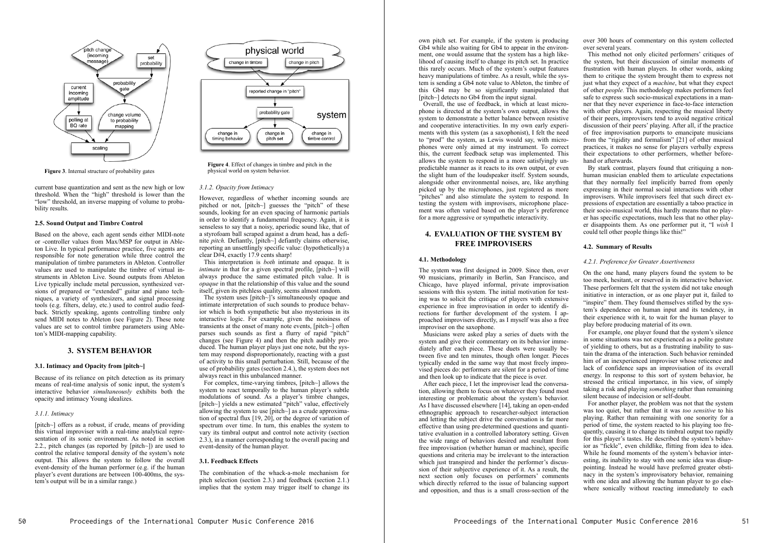own pitch set. For example, if the system is producing Gb4 while also waiting for Gb4 to appear in the environment, one would assume that the system has a high likelihood of causing itself to change its pitch set. In practice this rarely occurs. Much of the system's output features heavy manipulations of timbre. As a result, while the system is sending a Gb4 note value to Ableton, the timbre of this Gb4 may be so significantly manipulated that [pitch~] detects no Gb4 from the input signal.

 Overall, the use of feedback, in which at least microphone is directed at the system's own output, allows the system to demonstrate a better balance between resistive and cooperative interactivities. In my own early experiments with this system (as a saxophonist), I felt the need to "prod" the system, as Lewis would say, with microphones were only aimed at my instrument. To correct this, the current feedback setup was implemented. This allows the system to respond in a more satisfyingly unpredictable manner as it reacts to its own output, or even the slight hum of the loudspeaker itself. System sounds, alongside other environmental noises, are, like anything picked up by the microphones, just registered as more "pitches" and also stimulate the system to respond. In testing the system with improvisers, microphone placement was often varied based on the player's preference for a more aggressive or sympathetic interactivity.

# **4. EVALUATION OF THE SYSTEM BY FREE IMPROVISERS**

#### **4.1. Methodology**

The system was first designed in 2009. Since then, over 90 musicians, primarily in Berlin, San Francisco, and Chicago, have played informal, private improvisation sessions with this system. The initial motivation for testing was to solicit the critique of players with extensive experience in free improvisation in order to identify directions for further development of the system. I approached improvisers directly, as I myself was also a free improviser on the saxophone.

 Musicians were asked play a series of duets with the system and give their commentary on its behavior immediately after each piece. These duets were usually between five and ten minutes, though often longer. Pieces typically ended in the same way that most freely improvised pieces do: performers are silent for a period of time and then look up to indicate that the piece is over.

 After each piece, I let the improviser lead the conversation, allowing them to focus on whatever they found most interesting or problematic about the system's behavior. As I have discussed elsewhere [14], taking an open-ended ethnographic approach to researcher-subject interaction and letting the subject drive the conversation is far more effective than using pre-determined questions and quantitative evaluation in a controlled laboratory setting. Given the wide range of behaviors desired and resultant from free improvisation (whether human or machine), specific questions and criteria may be irrelevant to the interaction which just transpired and hinder the performer's discussion of their subjective experience of it. As a result, the next section only focuses on performers' comments which directly referred to the issue of balancing support and opposition, and thus is a small cross-section of the over 300 hours of commentary on this system collected over several years.

 This method not only elicited performers' critiques of the system, but their discussion of similar moments of frustration with human players. In other words, asking them to critique the system brought them to express not just what they expect of a *machine*, but what they expect of other *people.* This methodology makes performers feel safe to express such socio-musical expectations in a manner that they never experience in face-to-face interaction with other players. Again, respecting the musical liberty of their peers, improvisers tend to avoid negative critical discussion of their peers' playing. After all, if the practice of free improvisation purports to emancipate musicians from the "rigidity and formalism" [21] of other musical practices, it makes no sense for players verbally express their expectations to other performers, whether beforehand or afterwards.

 By stark contrast, players found that critiquing a nonhuman musician enabled them to articulate expectations that they normally feel implicitly barred from openly expressing in their normal social interactions with other improvisers. While improvisers feel that such direct expressions of expectation are essentially a taboo practice in their socio-musical world, this hardly means that no player has specific expectations, much less that no other player disappoints them. As one performer put it, "I *wish* I could tell other people things like this!"

# **4.2. Summary of Results**

#### *4.2.1. Preference for Greater Assertiveness*

On the one hand, many players found the system to be too meek, hesitant, or reserved in its interactive behavior. These performers felt that the system did not take enough initiative in interaction, or as one player put it, failed to "inspire" them. They found themselves stifled by the system's dependence on human input and its tendency, in their experience with it, to wait for the human player to play before producing material of its own.

 For example, one player found that the system's silence in some situations was not experienced as a polite gesture of yielding to others, but as a frustrating inability to sustain the drama of the interaction. Such behavior reminded him of an inexperienced improviser whose reticence and lack of confidence saps an improvisation of its overall energy. In response to this sort of system behavior, he stressed the critical importance, in his view, of simply taking a risk and playing *something* rather than remaining silent because of indecision or self-doubt.

 For another player, the problem was not that the system was too quiet, but rather that it was *too sensitive* to his playing. Rather than remaining with one sonority for a period of time, the system reacted to his playing too frequently, causing it to change its timbral output too rapidly for this player's tastes. He described the system's behavior as "fickle", even childlike, flitting from idea to idea. While he found moments of the system's behavior interesting, its inability to stay with one sonic idea was disappointing. Instead he would have preferred greater obstinacy in the system's improvisatory behavior, remaining with one idea and allowing the human player to go elsewhere sonically without reacting immediately to each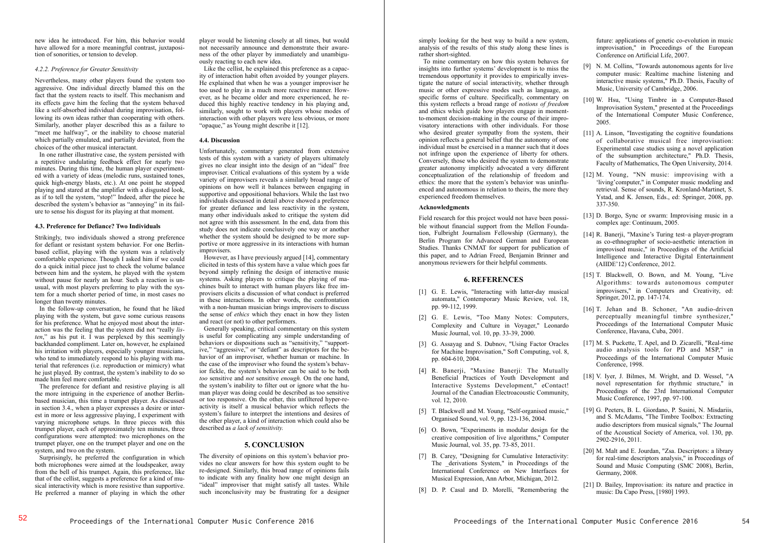new idea he introduced. For him, this behavior would have allowed for a more meaningful contrast, juxtaposition of sonorities, or tension to develop.

# *4.2.2. Preference for Greater Sensitivity*

Nevertheless, many other players found the system too aggressive. One individual directly blamed this on the fact that the system reacts to itself. This mechanism and its effects gave him the feeling that the system behaved like a self-absorbed individual during improvisation, following its own ideas rather than cooperating with others. Similarly, another player described this as a failure to "meet me halfway", or the inability to choose material which partially emulated, and partially deviated, from the choices of the other musical interactant.

 In one rather illustrative case, the system persisted with a repetitive undulating feedback effect for nearly two minutes. During this time, the human player experimented with a variety of ideas (melodic runs, sustained tones, quick high-energy blasts, etc.). At one point he stopped playing and stared at the amplifier with a disgusted look, as if to tell the system, "stop!" Indeed, after the piece he described the system's behavior as "annoying" in its failure to sense his disgust for its playing at that moment.

#### **4.3. Preference for Defiance? Two Individuals**

Strikingly, two individuals showed a strong preference for defiant or resistant system behavior. For one Berlinbased cellist, playing with the system was a relatively comfortable experience. Though I asked him if we could do a quick initial piece just to check the volume balance between him and the system, he played with the system without pause for nearly an hour. Such a reaction is unusual, with most players preferring to play with the system for a much shorter period of time, in most cases no longer than twenty minutes.

 In the follow-up conversation, he found that he liked playing with the system, but gave some curious reasons for his preference. What he enjoyed most about the interaction was the feeling that the system did not "really *listen*," as his put it. I was perplexed by this seemingly backhanded compliment. Later on, however, he explained his irritation with players, especially younger musicians, who tend to immediately respond to his playing with material that references (i.e. reproduction or mimicry) what he just played. By contrast, the system's inability to do so made him feel more comfortable.

 The preference for defiant and resistive playing is all the more intriguing in the experience of another Berlinbased musician, this time a trumpet player. As discussed in section 3.4., when a player expresses a desire or interest in more or less aggressive playing, I experiment with varying microphone setups. In three pieces with this trumpet player, each of approximately ten minutes, three configurations were attempted: two microphones on the trumpet player, one on the trumpet player and one on the system, and two on the system.

 Surprisingly, he preferred the configuration in which both microphones were aimed at the loudspeaker, away from the bell of his trumpet. Again, this preference, like that of the cellist, suggests a preference for a kind of musical interactivity which is more resistive than supportive. He preferred a manner of playing in which the other

player would be listening closely at all times, but would not necessarily announce and demonstrate their awareness of the other player by immediately and unambiguously reacting to each new idea.

 Like the cellist, he explained this preference as a capacity of interaction habit often avoided by younger players. He explained that when he was a younger improviser he too used to play in a much more reactive manner. However, as he became older and more experienced, he reduced this highly reactive tendency in his playing and, similarly, sought to work with players whose modes of interaction with other players were less obvious, or more "opaque," as Young might describe it [12].

# **4.4. Discussion**

Unfortunately, commentary generated from extensive tests of this system with a variety of players ultimately gives no clear insight into the design of an "ideal" free improviser. Critical evaluations of this system by a wide variety of improvisers reveals a similarly broad range of opinions on how well it balances between engaging in supportive and oppositional behaviors. While the last two individuals discussed in detail above showed a preference for greater defiance and less reactivity in the system, many other individuals asked to critique the system did not agree with this assessment. In the end, data from this study does not indicate conclusively one way or another whether the system should be designed to be more supportive or more aggressive in its interactions with human improvisers.

 However, as I have previously argued [14], commentary elicited in tests of this system have a value which goes far beyond simply refining the design of interactive music systems. Asking players to critique the playing of machines built to interact with human players like free improvisers elicits a discussion of what conduct is preferred in these interactions. In other words, the confrontation with a non-human musician brings improvisers to discuss the sense of *ethics* which they enact in how they listen and react (or not) to other performers.

 Generally speaking, critical commentary on this system is useful for complicating any simple understanding of behaviors or dispositions such as "sensitivity," "supportive," "aggressive," or "defiant" as descriptors for the behavior of an improviser, whether human or machine. In the case of the improviser who found the system's behavior fickle, the system's behavior can be said to be both *too* sensitive and *not* sensitive *enough.* On the one hand, the system's inability to filter out or ignore what the human player was doing could be described as too sensitive or too responsive. On the other, this unfiltered hyper-reactivity is itself a musical behavior which reflects the system's failure to interpret the intentions and desires of the other player, a kind of interaction which could also be described as *a lack of sensitivity.*

# **5. CONCLUSION**

The diversity of opinions on this system's behavior provides no clear answers for how this system ought to be re-designed. Similarly, this broad range of opinions fails to indicate with any finality how one might design an "ideal" improviser that might satisfy all tastes. While such inconclusivity may be frustrating for a designer